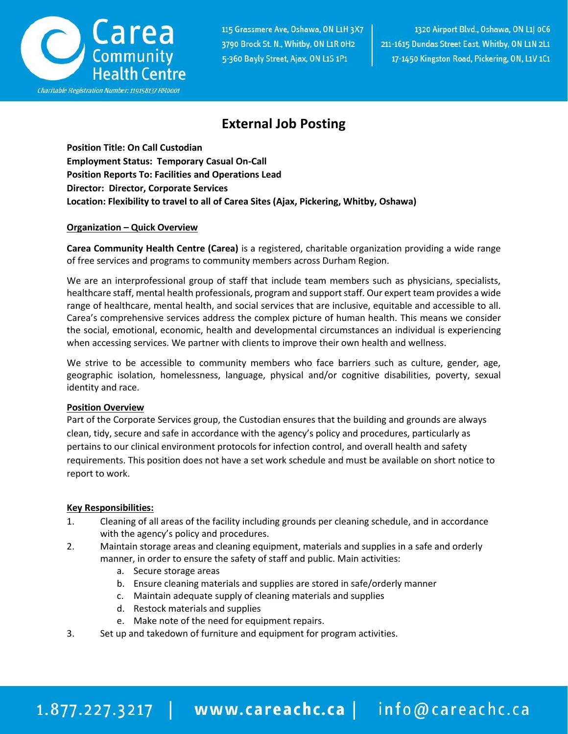

115 Grassmere Ave, Oshawa, ON L1H 3X7 3790 Brock St. N., Whitby, ON L1R 0H2 5-360 Bayly Street, Ajax, ON L1S 1P1

1320 Airport Blvd., Oshawa, ON L1| 0C6 211-1615 Dundas Street East, Whitby, ON L1N 2L1 17-1450 Kingston Road, Pickering, ON, L1V 1C1

## **External Job Posting**

**Position Title: On Call Custodian Employment Status: Temporary Casual On-Call Position Reports To: Facilities and Operations Lead Director: Director, Corporate Services Location: Flexibility to travel to all of Carea Sites (Ajax, Pickering, Whitby, Oshawa)**

### **Organization – Quick Overview**

**Carea Community Health Centre (Carea)** is a registered, charitable organization providing a wide range of free services and programs to community members across Durham Region.

We are an interprofessional group of staff that include team members such as physicians, specialists, healthcare staff, mental health professionals, program and support staff. Our expert team provides a wide range of healthcare, mental health, and social services that are inclusive, equitable and accessible to all. Carea's comprehensive services address the complex picture of human health. This means we consider the social, emotional, economic, health and developmental circumstances an individual is experiencing when accessing services. We partner with clients to improve their own health and wellness.

We strive to be accessible to community members who face barriers such as culture, gender, age, geographic isolation, homelessness, language, physical and/or cognitive disabilities, poverty, sexual identity and race.

#### **Position Overview**

Part of the Corporate Services group, the Custodian ensures that the building and grounds are always clean, tidy, secure and safe in accordance with the agency's policy and procedures, particularly as pertains to our clinical environment protocols for infection control, and overall health and safety requirements. This position does not have a set work schedule and must be available on short notice to report to work.

#### **Key Responsibilities:**

- 1. Cleaning of all areas of the facility including grounds per cleaning schedule, and in accordance with the agency's policy and procedures.
- 2. Maintain storage areas and cleaning equipment, materials and supplies in a safe and orderly manner, in order to ensure the safety of staff and public. Main activities:
	- a. Secure storage areas
	- b. Ensure cleaning materials and supplies are stored in safe/orderly manner
	- c. Maintain adequate supply of cleaning materials and supplies
	- d. Restock materials and supplies
	- e. Make note of the need for equipment repairs.
- 3. Set up and takedown of furniture and equipment for program activities.

# 1.877.227.3217 | www.careachc.ca | info@careachc.ca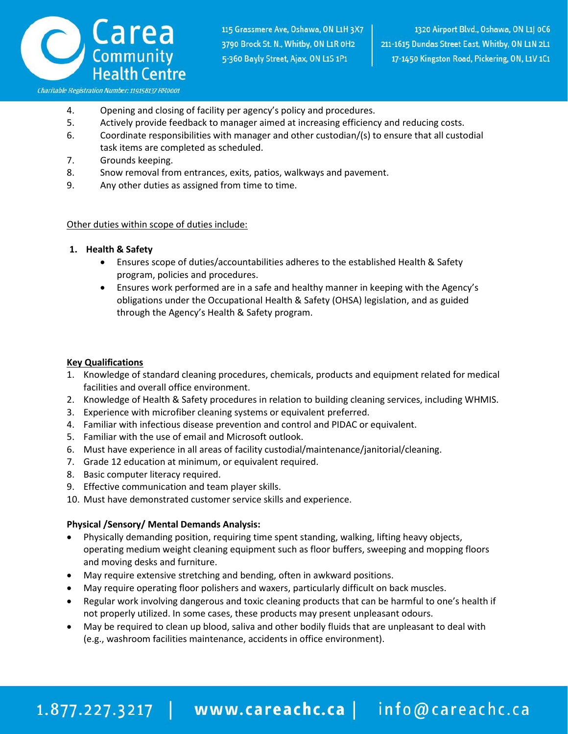

- 4. Opening and closing of facility per agency's policy and procedures.
- 5. Actively provide feedback to manager aimed at increasing efficiency and reducing costs.
- 6. Coordinate responsibilities with manager and other custodian/(s) to ensure that all custodial task items are completed as scheduled.
- 7. Grounds keeping.
- 8. Snow removal from entrances, exits, patios, walkways and pavement.
- 9. Any other duties as assigned from time to time.

#### Other duties within scope of duties include:

#### **1. Health & Safety**

- Ensures scope of duties/accountabilities adheres to the established Health & Safety program, policies and procedures.
- Ensures work performed are in a safe and healthy manner in keeping with the Agency's obligations under the Occupational Health & Safety (OHSA) legislation, and as guided through the Agency's Health & Safety program.

#### **Key Qualifications**

- 1. Knowledge of standard cleaning procedures, chemicals, products and equipment related for medical facilities and overall office environment.
- 2. Knowledge of Health & Safety procedures in relation to building cleaning services, including WHMIS.
- 3. Experience with microfiber cleaning systems or equivalent preferred.
- 4. Familiar with infectious disease prevention and control and PIDAC or equivalent.
- 5. Familiar with the use of email and Microsoft outlook.
- 6. Must have experience in all areas of facility custodial/maintenance/janitorial/cleaning.
- 7. Grade 12 education at minimum, or equivalent required.
- 8. Basic computer literacy required.
- 9. Effective communication and team player skills.
- 10. Must have demonstrated customer service skills and experience.

#### **Physical /Sensory/ Mental Demands Analysis:**

- Physically demanding position, requiring time spent standing, walking, lifting heavy objects, operating medium weight cleaning equipment such as floor buffers, sweeping and mopping floors and moving desks and furniture.
- May require extensive stretching and bending, often in awkward positions.
- May require operating floor polishers and waxers, particularly difficult on back muscles.
- Regular work involving dangerous and toxic cleaning products that can be harmful to one's health if not properly utilized. In some cases, these products may present unpleasant odours.
- May be required to clean up blood, saliva and other bodily fluids that are unpleasant to deal with (e.g., washroom facilities maintenance, accidents in office environment).

# 1.877.227.3217 | www.careachc.ca | info@careachc.ca